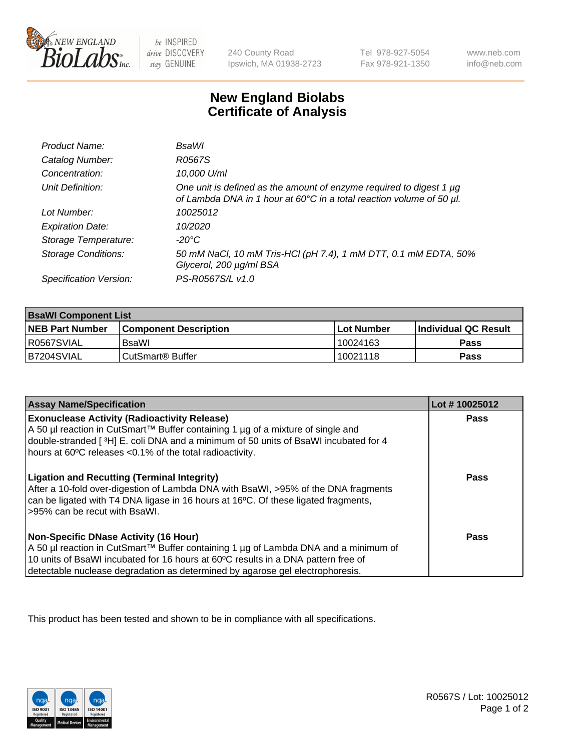

 $be$  INSPIRED drive DISCOVERY stay GENUINE

240 County Road Ipswich, MA 01938-2723 Tel 978-927-5054 Fax 978-921-1350 www.neb.com info@neb.com

## **New England Biolabs Certificate of Analysis**

| Product Name:              | <b>BsaWI</b>                                                                                                                                     |
|----------------------------|--------------------------------------------------------------------------------------------------------------------------------------------------|
| Catalog Number:            | R0567S                                                                                                                                           |
| Concentration:             | 10,000 U/ml                                                                                                                                      |
| Unit Definition:           | One unit is defined as the amount of enzyme required to digest 1 $\mu$ g<br>of Lambda DNA in 1 hour at 60°C in a total reaction volume of 50 µl. |
| Lot Number:                | 10025012                                                                                                                                         |
| <b>Expiration Date:</b>    | 10/2020                                                                                                                                          |
| Storage Temperature:       | -20°C                                                                                                                                            |
| <b>Storage Conditions:</b> | 50 mM NaCl, 10 mM Tris-HCl (pH 7.4), 1 mM DTT, 0.1 mM EDTA, 50%<br>Glycerol, 200 µg/ml BSA                                                       |
| Specification Version:     | PS-R0567S/L v1.0                                                                                                                                 |

| <b>BsaWI Component List</b> |                         |              |                             |  |
|-----------------------------|-------------------------|--------------|-----------------------------|--|
| <b>NEB Part Number</b>      | l Component Description | l Lot Number | <b>Individual QC Result</b> |  |
| R0567SVIAL                  | BsaWl                   | 10024163     | Pass                        |  |
| B7204SVIAL                  | l CutSmart® Buffer      | 10021118     | Pass                        |  |

| <b>Assay Name/Specification</b>                                                                                                                                                                                                                                                                           | Lot #10025012 |
|-----------------------------------------------------------------------------------------------------------------------------------------------------------------------------------------------------------------------------------------------------------------------------------------------------------|---------------|
| <b>Exonuclease Activity (Radioactivity Release)</b><br>A 50 µl reaction in CutSmart™ Buffer containing 1 µg of a mixture of single and<br>double-stranded [3H] E. coli DNA and a minimum of 50 units of BsaWI incubated for 4<br>hours at 60°C releases <0.1% of the total radioactivity.                 | Pass          |
| <b>Ligation and Recutting (Terminal Integrity)</b><br>After a 10-fold over-digestion of Lambda DNA with BsaWI, >95% of the DNA fragments<br>can be ligated with T4 DNA ligase in 16 hours at 16°C. Of these ligated fragments,<br>>95% can be recut with BsaWI.                                           | <b>Pass</b>   |
| <b>Non-Specific DNase Activity (16 Hour)</b><br>A 50 µl reaction in CutSmart™ Buffer containing 1 µg of Lambda DNA and a minimum of<br>10 units of BsaWI incubated for 16 hours at 60°C results in a DNA pattern free of<br>detectable nuclease degradation as determined by agarose gel electrophoresis. | Pass          |

This product has been tested and shown to be in compliance with all specifications.